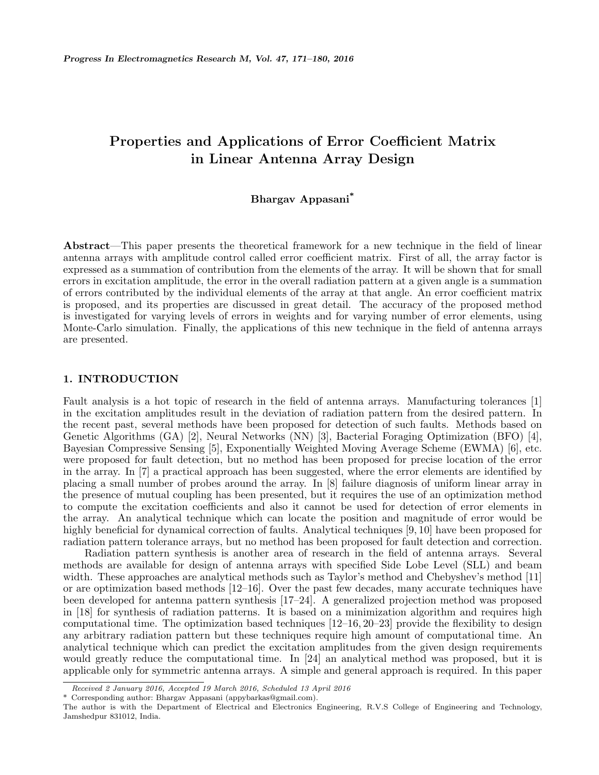# **Properties and Applications of Error Coefficient Matrix in Linear Antenna Array Design**

# **Bhargav Appasani\***

**Abstract**—This paper presents the theoretical framework for a new technique in the field of linear antenna arrays with amplitude control called error coefficient matrix. First of all, the array factor is expressed as a summation of contribution from the elements of the array. It will be shown that for small errors in excitation amplitude, the error in the overall radiation pattern at a given angle is a summation of errors contributed by the individual elements of the array at that angle. An error coefficient matrix is proposed, and its properties are discussed in great detail. The accuracy of the proposed method is investigated for varying levels of errors in weights and for varying number of error elements, using Monte-Carlo simulation. Finally, the applications of this new technique in the field of antenna arrays are presented.

## **1. INTRODUCTION**

Fault analysis is a hot topic of research in the field of antenna arrays. Manufacturing tolerances [1] in the excitation amplitudes result in the deviation of radiation pattern from the desired pattern. In the recent past, several methods have been proposed for detection of such faults. Methods based on Genetic Algorithms (GA) [2], Neural Networks (NN) [3], Bacterial Foraging Optimization (BFO) [4], Bayesian Compressive Sensing [5], Exponentially Weighted Moving Average Scheme (EWMA) [6], etc. were proposed for fault detection, but no method has been proposed for precise location of the error in the array. In [7] a practical approach has been suggested, where the error elements are identified by placing a small number of probes around the array. In [8] failure diagnosis of uniform linear array in the presence of mutual coupling has been presented, but it requires the use of an optimization method to compute the excitation coefficients and also it cannot be used for detection of error elements in the array. An analytical technique which can locate the position and magnitude of error would be highly beneficial for dynamical correction of faults. Analytical techniques [9, 10] have been proposed for radiation pattern tolerance arrays, but no method has been proposed for fault detection and correction.

Radiation pattern synthesis is another area of research in the field of antenna arrays. Several methods are available for design of antenna arrays with specified Side Lobe Level (SLL) and beam width. These approaches are analytical methods such as Taylor's method and Chebyshev's method [11] or are optimization based methods [12–16]. Over the past few decades, many accurate techniques have been developed for antenna pattern synthesis [17–24]. A generalized projection method was proposed in [18] for synthesis of radiation patterns. It is based on a minimization algorithm and requires high computational time. The optimization based techniques [12–16, 20–23] provide the flexibility to design any arbitrary radiation pattern but these techniques require high amount of computational time. An analytical technique which can predict the excitation amplitudes from the given design requirements would greatly reduce the computational time. In [24] an analytical method was proposed, but it is applicable only for symmetric antenna arrays. A simple and general approach is required. In this paper

*Received 2 January 2016, Accepted 19 March 2016, Scheduled 13 April 2016*

<sup>\*</sup> Corresponding author: Bhargav Appasani (appybarkas@gmail.com).

The author is with the Department of Electrical and Electronics Engineering, R.V.S College of Engineering and Technology, Jamshedpur 831012, India.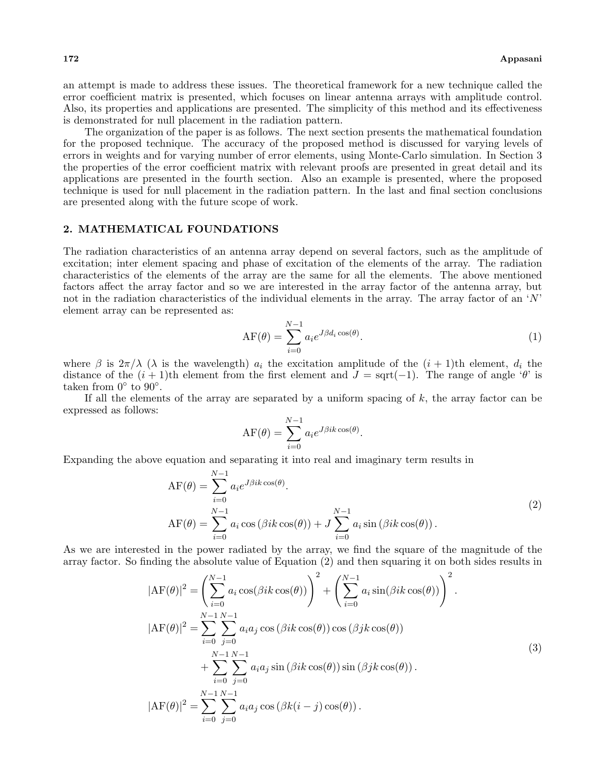an attempt is made to address these issues. The theoretical framework for a new technique called the error coefficient matrix is presented, which focuses on linear antenna arrays with amplitude control. Also, its properties and applications are presented. The simplicity of this method and its effectiveness is demonstrated for null placement in the radiation pattern.

The organization of the paper is as follows. The next section presents the mathematical foundation for the proposed technique. The accuracy of the proposed method is discussed for varying levels of errors in weights and for varying number of error elements, using Monte-Carlo simulation. In Section 3 the properties of the error coefficient matrix with relevant proofs are presented in great detail and its applications are presented in the fourth section. Also an example is presented, where the proposed technique is used for null placement in the radiation pattern. In the last and final section conclusions are presented along with the future scope of work.

#### **2. MATHEMATICAL FOUNDATIONS**

The radiation characteristics of an antenna array depend on several factors, such as the amplitude of excitation; inter element spacing and phase of excitation of the elements of the array. The radiation characteristics of the elements of the array are the same for all the elements. The above mentioned factors affect the array factor and so we are interested in the array factor of the antenna array, but not in the radiation characteristics of the individual elements in the array. The array factor of an '*N*' element array can be represented as:

$$
\text{AF}(\theta) = \sum_{i=0}^{N-1} a_i e^{J\beta d_i \cos(\theta)}.
$$
\n(1)

where  $\beta$  is  $2\pi/\lambda$  ( $\lambda$  is the wavelength)  $a_i$  the excitation amplitude of the  $(i + 1)$ th element,  $d_i$  the distance of the  $(i + 1)$ th element from the first element and  $J = \text{sqrt}(-1)$ . The range of angle ' $\theta$ ' is taken from 0*◦* to 90*◦* .

If all the elements of the array are separated by a uniform spacing of *k*, the array factor can be expressed as follows:

$$
AF(\theta) = \sum_{i=0}^{N-1} a_i e^{J\beta ik \cos(\theta)}.
$$

Expanding the above equation and separating it into real and imaginary term results in

$$
\begin{aligned} \n\text{AF}(\theta) &= \sum_{i=0}^{N-1} a_i e^{J\beta ik \cos(\theta)}.\\ \n\text{AF}(\theta) &= \sum_{i=0}^{N-1} a_i \cos\left(\beta ik \cos(\theta)\right) + J \sum_{i=0}^{N-1} a_i \sin\left(\beta ik \cos(\theta)\right). \n\end{aligned} \tag{2}
$$

As we are interested in the power radiated by the array, we find the square of the magnitude of the array factor. So finding the absolute value of Equation (2) and then squaring it on both sides results in

$$
|\text{AF}(\theta)|^2 = \left(\sum_{i=0}^{N-1} a_i \cos(\beta i k \cos(\theta))\right)^2 + \left(\sum_{i=0}^{N-1} a_i \sin(\beta i k \cos(\theta))\right)^2.
$$
  
\n
$$
|\text{AF}(\theta)|^2 = \sum_{i=0}^{N-1} \sum_{j=0}^{N-1} a_i a_j \cos(\beta i k \cos(\theta)) \cos(\beta j k \cos(\theta))
$$
  
\n
$$
+ \sum_{i=0}^{N-1} \sum_{j=0}^{N-1} a_i a_j \sin(\beta i k \cos(\theta)) \sin(\beta j k \cos(\theta)).
$$
  
\n
$$
|\text{AF}(\theta)|^2 = \sum_{i=0}^{N-1} \sum_{j=0}^{N-1} a_i a_j \cos(\beta k(i-j) \cos(\theta)).
$$
\n(3)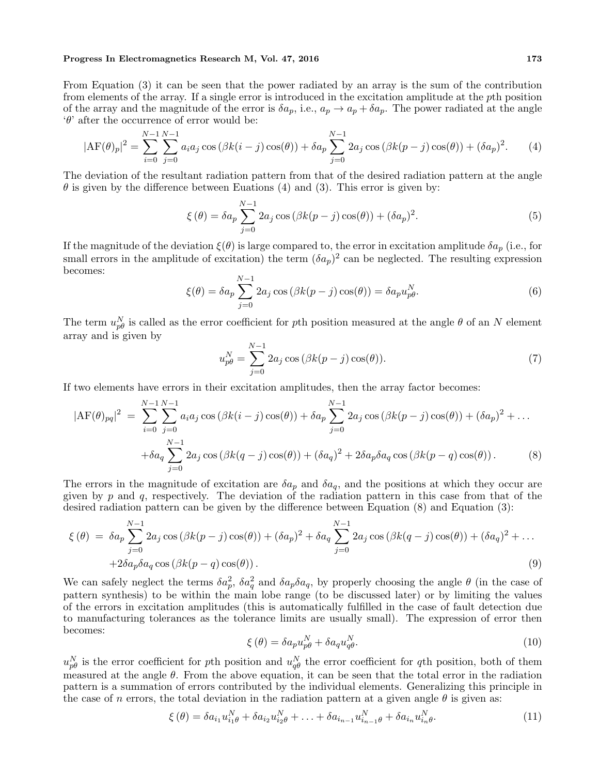#### **Progress In Electromagnetics Research M, Vol. 47, 2016 173**

From Equation (3) it can be seen that the power radiated by an array is the sum of the contribution from elements of the array. If a single error is introduced in the excitation amplitude at the *p*th position of the array and the magnitude of the error is  $\delta a_p$ , i.e.,  $a_p \to a_p + \delta a_p$ . The power radiated at the angle '*θ*' after the occurrence of error would be:

$$
|\text{AF}(\theta)_p|^2 = \sum_{i=0}^{N-1} \sum_{j=0}^{N-1} a_i a_j \cos(\beta k(i-j)\cos(\theta)) + \delta a_p \sum_{j=0}^{N-1} 2a_j \cos(\beta k(p-j)\cos(\theta)) + (\delta a_p)^2.
$$
 (4)

The deviation of the resultant radiation pattern from that of the desired radiation pattern at the angle  $\theta$  is given by the difference between Euations (4) and (3). This error is given by:

$$
\xi(\theta) = \delta a_p \sum_{j=0}^{N-1} 2a_j \cos(\beta k(p-j)\cos(\theta)) + (\delta a_p)^2.
$$
\n
$$
(5)
$$

If the magnitude of the deviation  $\xi(\theta)$  is large compared to, the error in excitation amplitude  $\delta a_p$  (i.e., for small errors in the amplitude of excitation) the term  $(\delta a_p)^2$  can be neglected. The resulting expression becomes:

$$
\xi(\theta) = \delta a_p \sum_{j=0}^{N-1} 2a_j \cos(\beta k(p-j)\cos(\theta)) = \delta a_p u_{p\theta}^N.
$$
\n(6)

The term  $u_{p\theta}^N$  is called as the error coefficient for *p*th position measured at the angle  $\theta$  of an *N* element array and is given by

$$
u_{p\theta}^{N} = \sum_{j=0}^{N-1} 2a_j \cos\left(\beta k(p-j)\cos(\theta)\right).
$$
 (7)

If two elements have errors in their excitation amplitudes, then the array factor becomes:

$$
|\text{AF}(\theta)_{pq}|^2 = \sum_{i=0}^{N-1} \sum_{j=0}^{N-1} a_i a_j \cos(\beta k(i-j)\cos(\theta)) + \delta a_p \sum_{j=0}^{N-1} 2a_j \cos(\beta k(p-j)\cos(\theta)) + (\delta a_p)^2 + \dots
$$
  
+ 
$$
\delta a_q \sum_{j=0}^{N-1} 2a_j \cos(\beta k(q-j)\cos(\theta)) + (\delta a_q)^2 + 2\delta a_p \delta a_q \cos(\beta k(p-q)\cos(\theta)). \tag{8}
$$

The errors in the magnitude of excitation are  $\delta a_p$  and  $\delta a_q$ , and the positions at which they occur are given by *p* and *q*, respectively. The deviation of the radiation pattern in this case from that of the desired radiation pattern can be given by the difference between Equation (8) and Equation (3):

$$
\xi(\theta) = \delta a_p \sum_{j=0}^{N-1} 2a_j \cos(\beta k(p-j)\cos(\theta)) + (\delta a_p)^2 + \delta a_q \sum_{j=0}^{N-1} 2a_j \cos(\beta k(q-j)\cos(\theta)) + (\delta a_q)^2 + \dots
$$
  
+2\delta a\_p \delta a\_q \cos(\beta k(p-q)\cos(\theta)). (9)

We can safely neglect the terms  $\delta a_p^2$ ,  $\delta a_q^2$  and  $\delta a_p \delta a_q$ , by properly choosing the angle  $\theta$  (in the case of pattern synthesis) to be within the main lobe range (to be discussed later) or by limiting the values of the errors in excitation amplitudes (this is automatically fulfilled in the case of fault detection due to manufacturing tolerances as the tolerance limits are usually small). The expression of error then becomes:

$$
\xi(\theta) = \delta a_p u_{p\theta}^N + \delta a_q u_{q\theta}^N. \tag{10}
$$

 $u_{p\theta}^N$  is the error coefficient for *p*th position and  $u_{q\theta}^N$  the error coefficient for *q*th position, both of them measured at the angle *θ*. From the above equation, it can be seen that the total error in the radiation pattern is a summation of errors contributed by the individual elements. Generalizing this principle in the case of *n* errors, the total deviation in the radiation pattern at a given angle  $\theta$  is given as:

$$
\xi(\theta) = \delta a_{i_1} u_{i_1 \theta}^N + \delta a_{i_2} u_{i_2 \theta}^N + \ldots + \delta a_{i_{n-1}} u_{i_{n-1} \theta}^N + \delta a_{i_n} u_{i_n \theta}^N. \tag{11}
$$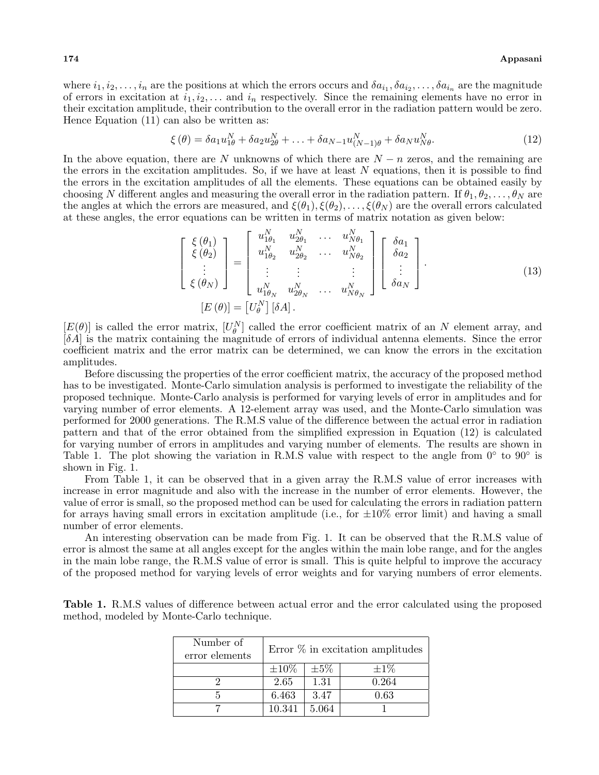where  $i_1, i_2, \ldots, i_n$  are the positions at which the errors occurs and  $\delta a_{i_1}, \delta a_{i_2}, \ldots, \delta a_{i_n}$  are the magnitude of errors in excitation at  $i_1, i_2, \ldots$  and  $i_n$  respectively. Since the remaining elements have no error in their excitation amplitude, their contribution to the overall error in the radiation pattern would be zero. Hence Equation (11) can also be written as:

$$
\xi(\theta) = \delta a_1 u_{1\theta}^N + \delta a_2 u_{2\theta}^N + \ldots + \delta a_{N-1} u_{(N-1)\theta}^N + \delta a_N u_{N\theta}^N. \tag{12}
$$

In the above equation, there are *N* unknowns of which there are *N − n* zeros, and the remaining are the errors in the excitation amplitudes. So, if we have at least *N* equations, then it is possible to find the errors in the excitation amplitudes of all the elements. These equations can be obtained easily by choosing *N* different angles and measuring the overall error in the radiation pattern. If  $\theta_1, \theta_2, \ldots, \theta_N$  are the angles at which the errors are measured, and  $\xi(\theta_1), \xi(\theta_2), \ldots, \xi(\theta_N)$  are the overall errors calculated at these angles, the error equations can be written in terms of matrix notation as given below:

*N*

*N*

$$
\begin{bmatrix}\n\xi(\theta_1) \\
\xi(\theta_2) \\
\vdots \\
\xi(\theta_N)\n\end{bmatrix} = \begin{bmatrix}\nu_{1\theta_1}^N & u_{2\theta_1}^N & \cdots & u_{N\theta_1}^N \\
u_{1\theta_2}^N & u_{2\theta_2}^N & \cdots & u_{N\theta_2}^N \\
\vdots & \vdots & \vdots & \vdots \\
u_{1\theta_N}^N & u_{2\theta_N}^N & \cdots & u_{N\theta_N}^N\n\end{bmatrix} \begin{bmatrix}\n\delta a_1 \\
\delta a_2 \\
\vdots \\
\delta a_N\n\end{bmatrix}.
$$
\n(13)

 $[E(\theta)]$  is called the error matrix,  $[U_{\theta}^N]$  called the error coefficient matrix of an *N* element array, and [*δA*] is the matrix containing the magnitude of errors of individual antenna elements. Since the error coefficient matrix and the error matrix can be determined, we can know the errors in the excitation amplitudes.

Before discussing the properties of the error coefficient matrix, the accuracy of the proposed method has to be investigated. Monte-Carlo simulation analysis is performed to investigate the reliability of the proposed technique. Monte-Carlo analysis is performed for varying levels of error in amplitudes and for varying number of error elements. A 12-element array was used, and the Monte-Carlo simulation was performed for 2000 generations. The R.M.S value of the difference between the actual error in radiation pattern and that of the error obtained from the simplified expression in Equation (12) is calculated for varying number of errors in amplitudes and varying number of elements. The results are shown in Table 1. The plot showing the variation in R.M.S value with respect to the angle from 0*◦* to 90*◦* is shown in Fig. 1.

From Table 1, it can be observed that in a given array the R.M.S value of error increases with increase in error magnitude and also with the increase in the number of error elements. However, the value of error is small, so the proposed method can be used for calculating the errors in radiation pattern for arrays having small errors in excitation amplitude (i.e., for *±*10% error limit) and having a small number of error elements.

An interesting observation can be made from Fig. 1. It can be observed that the R.M.S value of error is almost the same at all angles except for the angles within the main lobe range, and for the angles in the main lobe range, the R.M.S value of error is small. This is quite helpful to improve the accuracy of the proposed method for varying levels of error weights and for varying numbers of error elements.

**Table 1.** R.M.S values of difference between actual error and the error calculated using the proposed method, modeled by Monte-Carlo technique.

| Number of<br>error elements | Error $\%$ in excitation amplitudes |           |           |  |  |  |
|-----------------------------|-------------------------------------|-----------|-----------|--|--|--|
|                             | $\pm 10\%$                          | $\pm 5\%$ | $\pm 1\%$ |  |  |  |
|                             | 2.65                                | 1.31      | 0.264     |  |  |  |
|                             | 6.463                               | 3.47      | 0.63      |  |  |  |
|                             | 10.341                              | 5.064     |           |  |  |  |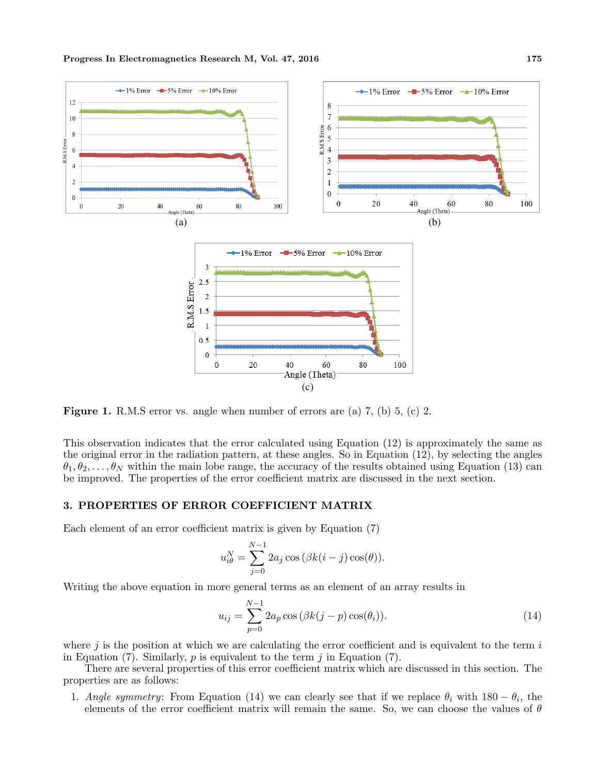

**Figure 1.** R.M.S error vs. angle when number of errors are (a) 7, (b) 5, (c) 2.

This observation indicates that the error calculated using Equation (12) is approximately the same as the original error in the radiation pattern, at these angles. So in Equation (12), by selecting the angles  $\theta_1, \theta_2, \ldots, \theta_N$  within the main lobe range, the accuracy of the results obtained using Equation (13) can be improved. The properties of the error coefficient matrix are discussed in the next section.

#### **3. PROPERTIES OF ERROR COEFFICIENT MATRIX**

Each element of an error coefficient matrix is given by Equation (7)

$$
u_{i\theta}^{N} = \sum_{j=0}^{N-1} 2a_j \cos(\beta k(i-j)\cos(\theta)).
$$

Writing the above equation in more general terms as an element of an array results in

$$
u_{ij} = \sum_{p=0}^{N-1} 2a_p \cos(\beta k(j-p)\cos(\theta_i)).
$$
\n(14)

where *j* is the position at which we are calculating the error coefficient and is equivalent to the term *i* in Equation (7). Similarly, *p* is equivalent to the term *j* in Equation (7).

There are several properties of this error coefficient matrix which are discussed in this section. The properties are as follows:

1. *Angle symmetry*: From Equation (14) we can clearly see that if we replace  $\theta_i$  with 180 −  $\theta_i$ , the elements of the error coefficient matrix will remain the same. So, we can choose the values of *θ*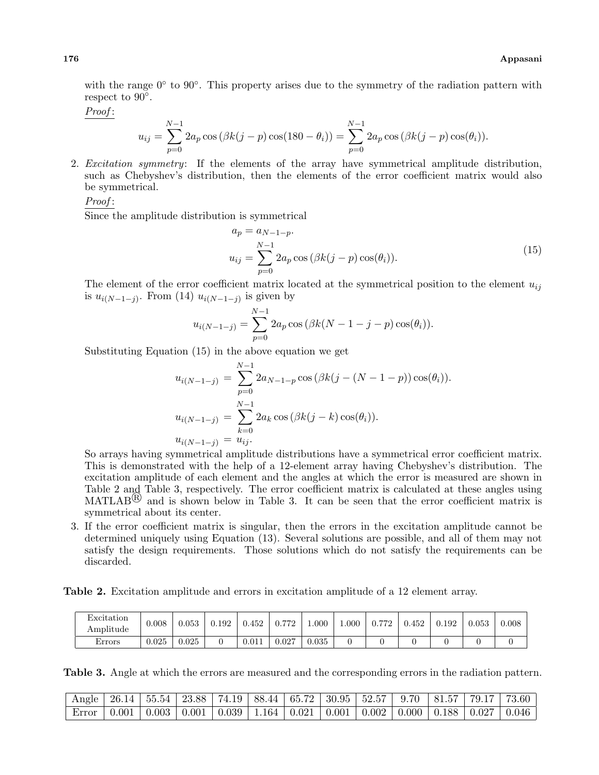with the range 0<sup>°</sup> to 90<sup>°</sup>. This property arises due to the symmetry of the radiation pattern with respect to 90*◦* .

*Proof* :

$$
u_{ij} = \sum_{p=0}^{N-1} 2a_p \cos(\beta k(j-p) \cos(180 - \theta_i)) = \sum_{p=0}^{N-1} 2a_p \cos(\beta k(j-p) \cos(\theta_i)).
$$

2. *Excitation symmetry*: If the elements of the array have symmetrical amplitude distribution, such as Chebyshev's distribution, then the elements of the error coefficient matrix would also be symmetrical.

*Proof* :

Since the amplitude distribution is symmetrical

$$
a_p = a_{N-1-p}.
$$
  

$$
u_{ij} = \sum_{p=0}^{N-1} 2a_p \cos(\beta k(j-p)\cos(\theta_i)).
$$
 (15)

The element of the error coefficient matrix located at the symmetrical position to the element  $u_{ij}$ is  $u_{i(N-1-j)}$ . From (14)  $u_{i(N-1-j)}$  is given by

$$
u_{i(N-1-j)} = \sum_{p=0}^{N-1} 2a_p \cos(\beta k(N-1-j-p)\cos(\theta_i)).
$$

Substituting Equation (15) in the above equation we get

$$
u_{i(N-1-j)} = \sum_{p=0}^{N-1} 2a_{N-1-p} \cos(\beta k(j - (N-1-p)) \cos(\theta_i)).
$$
  

$$
u_{i(N-1-j)} = \sum_{k=0}^{N-1} 2a_k \cos(\beta k(j-k) \cos(\theta_i)).
$$
  

$$
u_{i(N-1-j)} = u_{ij}.
$$

So arrays having symmetrical amplitude distributions have a symmetrical error coefficient matrix. This is demonstrated with the help of a 12-element array having Chebyshev's distribution. The excitation amplitude of each element and the angles at which the error is measured are shown in Table 2 and Table 3, respectively. The error coefficient matrix is calculated at these angles using MATLAB<sup>(R)</sup> and is shown below in Table 3. It can be seen that the error coefficient matrix is symmetrical about its center.

3. If the error coefficient matrix is singular, then the errors in the excitation amplitude cannot be determined uniquely using Equation (13). Several solutions are possible, and all of them may not satisfy the design requirements. Those solutions which do not satisfy the requirements can be discarded.

**Table 2.** Excitation amplitude and errors in excitation amplitude of a 12 element array.

| Excitation<br>$A$ mplitude | 0.008 | $\,0.053\,$ | 0.192 | 0.452 | 770<br>0.7 | $000$ .     | $000 \ldots$ | 770<br>$U \cdot I$<br>- 12 | 0.452 | 0.192 | 0.053 | $0.008\,$ |
|----------------------------|-------|-------------|-------|-------|------------|-------------|--------------|----------------------------|-------|-------|-------|-----------|
| Errors                     | 0.025 | $\,0.025\,$ |       | 0.011 | 0.027      | $\rm 0.035$ |              |                            |       |       |       |           |

**Table 3.** Angle at which the errors are measured and the corresponding errors in the radiation pattern.

| $\frac{1}{2}$ Angle   26.14   55.54   $\overline{23.88}$   74.19   88.44   65.72   30.95   52.57   9.70   81.57   79.17   73.60 |                                                                                                                            |  |  |  |  |  |
|---------------------------------------------------------------------------------------------------------------------------------|----------------------------------------------------------------------------------------------------------------------------|--|--|--|--|--|
| $Error$   0.001                                                                                                                 | $\mid 0.003 \mid 0.001 \mid 0.039 \mid 1.164 \mid 0.021 \mid 0.001 \mid 0.002 \mid 0.000 \mid 0.188 \mid 0.027 \mid 0.046$ |  |  |  |  |  |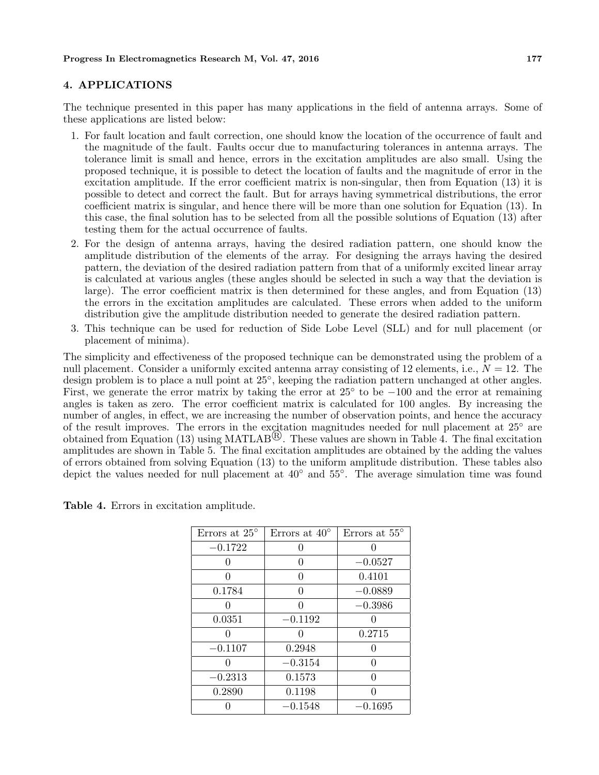#### **4. APPLICATIONS**

The technique presented in this paper has many applications in the field of antenna arrays. Some of these applications are listed below:

- 1. For fault location and fault correction, one should know the location of the occurrence of fault and the magnitude of the fault. Faults occur due to manufacturing tolerances in antenna arrays. The tolerance limit is small and hence, errors in the excitation amplitudes are also small. Using the proposed technique, it is possible to detect the location of faults and the magnitude of error in the excitation amplitude. If the error coefficient matrix is non-singular, then from Equation (13) it is possible to detect and correct the fault. But for arrays having symmetrical distributions, the error coefficient matrix is singular, and hence there will be more than one solution for Equation (13). In this case, the final solution has to be selected from all the possible solutions of Equation (13) after testing them for the actual occurrence of faults.
- 2. For the design of antenna arrays, having the desired radiation pattern, one should know the amplitude distribution of the elements of the array. For designing the arrays having the desired pattern, the deviation of the desired radiation pattern from that of a uniformly excited linear array is calculated at various angles (these angles should be selected in such a way that the deviation is large). The error coefficient matrix is then determined for these angles, and from Equation (13) the errors in the excitation amplitudes are calculated. These errors when added to the uniform distribution give the amplitude distribution needed to generate the desired radiation pattern.
- 3. This technique can be used for reduction of Side Lobe Level (SLL) and for null placement (or placement of minima).

The simplicity and effectiveness of the proposed technique can be demonstrated using the problem of a null placement. Consider a uniformly excited antenna array consisting of 12 elements, i.e., *N* = 12. The design problem is to place a null point at 25*◦* , keeping the radiation pattern unchanged at other angles. First, we generate the error matrix by taking the error at 25*◦* to be *−*100 and the error at remaining angles is taken as zero. The error coefficient matrix is calculated for 100 angles. By increasing the number of angles, in effect, we are increasing the number of observation points, and hence the accuracy of the result improves. The errors in the excitation magnitudes needed for null placement at 25*◦* are obtained from Equation (13) using MATLAB<sup> $\circledR$ </sup>. These values are shown in Table 4. The final excitation amplitudes are shown in Table 5. The final excitation amplitudes are obtained by the adding the values of errors obtained from solving Equation (13) to the uniform amplitude distribution. These tables also depict the values needed for null placement at 40*◦* and 55*◦* . The average simulation time was found

| Errors at $25^{\circ}$ | Errors at $40^{\circ}$ | Errors at $55^{\circ}$ |
|------------------------|------------------------|------------------------|
| $-0.1722$              | 0                      |                        |
|                        | 0                      | $-0.0527$              |
| 0                      | 0                      | 0.4101                 |
| 0.1784                 | 0                      | $-0.0889$              |
|                        | ∩                      | $-0.3986$              |
| 0.0351                 | $-0.1192$              |                        |
|                        | ⋂                      | 0.2715                 |
| $-0.1107$              | 0.2948                 |                        |
|                        | $-0.3154$              |                        |
| $-0.2313$              | 0.1573                 |                        |
| 0.2890                 | 0.1198                 |                        |
|                        | $-0.1548$              | $-0.1695$              |

**Table 4.** Errors in excitation amplitude.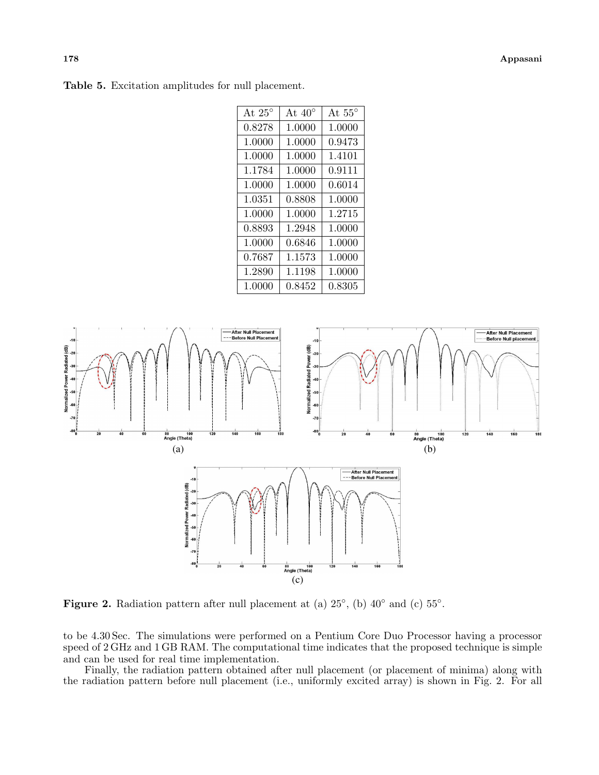| At $25^{\circ}$ | At $40^{\circ}$ | At $55^{\circ}$ |
|-----------------|-----------------|-----------------|
| 0.8278          | 1.0000          | 1.0000          |
| 1.0000          | 1.0000          | 0.9473          |
| 1.0000          | 1.0000          | 1.4101          |
| 1.1784          | 1.0000          | 0.9111          |
| 1.0000          | 1.0000          | 0.6014          |
| 1.0351          | 0.8808          | 1.0000          |
| 1.0000          | 1.0000          | 1.2715          |
| 0.8893          | 1.2948          | 1.0000          |
| 1.0000          | 0.6846          | 1.0000          |
| 0.7687          | 1.1573          | 1.0000          |
| 1.2890          | 1.1198          | 1.0000          |
| 1.0000          | 0.8452          | 0.8305          |



**Figure 2.** Radiation pattern after null placement at (a) 25*◦* , (b) 40*◦* and (c) 55*◦* .

to be 4.30 Sec. The simulations were performed on a Pentium Core Duo Processor having a processor speed of 2 GHz and 1 GB RAM. The computational time indicates that the proposed technique is simple and can be used for real time implementation.

Finally, the radiation pattern obtained after null placement (or placement of minima) along with the radiation pattern before null placement (i.e., uniformly excited array) is shown in Fig. 2. For all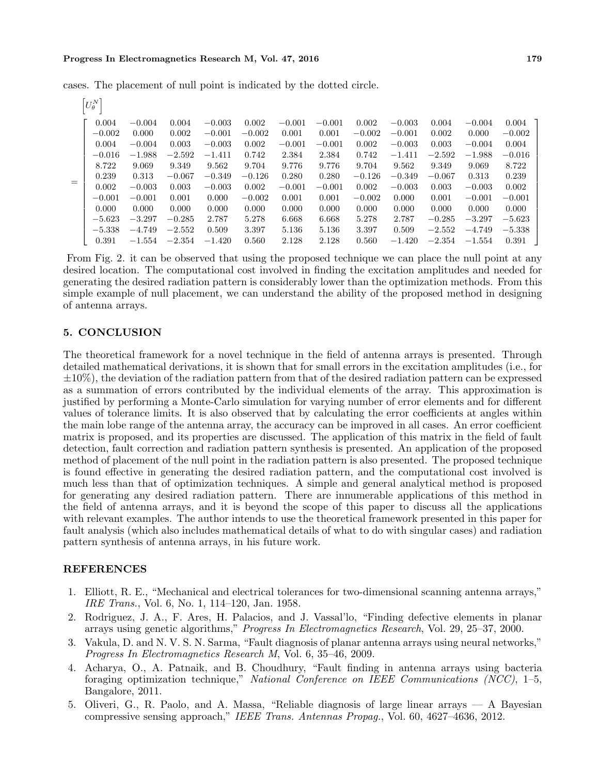#### **Progress In Electromagnetics Research M, Vol. 47, 2016 179**

 $\left[ U_{\theta}^N \right]$ =  $\Gamma$  $\mathbf{I}$  $\mathbf{I}$  $\mathbf{I}$  $\mathbf{I}$  $\mathbf{I}$  $\mathbf{I}$  $\mathbf{I}$  $\mathbf{I}$  $\mathbf{I}$  $\mathbf{I}$  $\mathbf{I}$  $\mathbf{I}$  $\mathbf{I}$  $\mathbf{I}$  $\mathbf{I}$  $\frac{1}{2}$  $\mathbf{I}$  $\mathbf{I}$  $\overline{1}$ 0*.*004 *−*0*.*004 0*.*004 *−*0*.*003 0*.*002 *−*0*.*001 *−*0*.*001 0*.*002 *−*0*.*003 0*.*004 *−*0*.*004 0*.*004 *−*0*.*002 0*.*000 0*.*002 *−*0*.*001 *−*0*.*002 0*.*001 0*.*001 *−*0*.*002 *−*0*.*001 0*.*002 0*.*000 *−*0*.*002 0*.*004 *−*0*.*004 0*.*003 *−*0*.*003 0*.*002 *−*0*.*001 *−*0*.*001 0*.*002 *−*0*.*003 0*.*003 *−*0*.*004 0*.*004 *−*0*.*016 *−*1*.*988 *−*2*.*592 *−*1*.*411 0*.*742 2*.*384 2*.*384 0*.*742 *−*1*.*411 *−*2*.*592 *−*1*.*988 *−*0*.*016 8*.*722 9*.*069 9*.*349 9*.*562 9*.*704 9*.*776 9*.*776 9*.*704 9*.*562 9*.*349 9*.*069 8*.*722 0*.*239 0*.*313 *−*0*.*067 *−*0*.*349 *−*0*.*126 0*.*280 0*.*280 *−*0*.*126 *−*0*.*349 *−*0*.*067 0*.*313 0*.*239 0*.*002 *−*0*.*003 0*.*003 *−*0*.*003 0*.*002 *−*0*.*001 *−*0*.*001 0*.*002 *−*0*.*003 0*.*003 *−*0*.*003 0*.*002 *−*0*.*001 *−*0*.*001 0*.*001 0*.*000 *−*0*.*002 0*.*001 0*.*001 *−*0*.*002 0*.*000 0*.*001 *−*0*.*001 *−*0*.*001 0*.*000 0*.*000 0*.*000 0*.*000 0*.*000 0*.*000 0*.*000 0*.*000 0*.*000 0*.*000 0*.*000 0*.*000 *−*5*.*623 *−*3*.*297 *−*0*.*285 2*.*787 5*.*278 6*.*668 6*.*668 5*.*278 2*.*787 *−*0*.*285 *−*3*.*297 *−*5*.*623 *−*5*.*338 *−*4*.*749 *−*2*.*552 0*.*509 3*.*397 5*.*136 5*.*136 3*.*397 0*.*509 *−*2*.*552 *−*4*.*749 *−*5*.*338 0*.*391 *−*1*.*554 *−*2*.*354 *−*1*.*420 0*.*560 2*.*128 2*.*128 0*.*560 *−*1*.*420 *−*2*.*354 *−*1*.*554 0*.*391 T  $\perp$  $\perp$  $\mathbf{I}$  $\mathbf{I}$  $\perp$  $\mathbf{I}$  $\mathbf{I}$  $\perp$  $\mathbf{I}$  $\mathbf{I}$  $\perp$  $\mathbf{I}$  $\perp$  $\mathbf{I}$  $\mathbf{I}$  $\perp$  $\mathbf{I}$  $\mathbf{I}$  $\overline{1}$ 

cases. The placement of null point is indicated by the dotted circle.

From Fig. 2. it can be observed that using the proposed technique we can place the null point at any desired location. The computational cost involved in finding the excitation amplitudes and needed for generating the desired radiation pattern is considerably lower than the optimization methods. From this simple example of null placement, we can understand the ability of the proposed method in designing of antenna arrays.

## **5. CONCLUSION**

The theoretical framework for a novel technique in the field of antenna arrays is presented. Through detailed mathematical derivations, it is shown that for small errors in the excitation amplitudes (i.e., for *±*10%), the deviation of the radiation pattern from that of the desired radiation pattern can be expressed as a summation of errors contributed by the individual elements of the array. This approximation is justified by performing a Monte-Carlo simulation for varying number of error elements and for different values of tolerance limits. It is also observed that by calculating the error coefficients at angles within the main lobe range of the antenna array, the accuracy can be improved in all cases. An error coefficient matrix is proposed, and its properties are discussed. The application of this matrix in the field of fault detection, fault correction and radiation pattern synthesis is presented. An application of the proposed method of placement of the null point in the radiation pattern is also presented. The proposed technique is found effective in generating the desired radiation pattern, and the computational cost involved is much less than that of optimization techniques. A simple and general analytical method is proposed for generating any desired radiation pattern. There are innumerable applications of this method in the field of antenna arrays, and it is beyond the scope of this paper to discuss all the applications with relevant examples. The author intends to use the theoretical framework presented in this paper for fault analysis (which also includes mathematical details of what to do with singular cases) and radiation pattern synthesis of antenna arrays, in his future work.

## **REFERENCES**

- 1. Elliott, R. E., "Mechanical and electrical tolerances for two-dimensional scanning antenna arrays," *IRE Trans.*, Vol. 6, No. 1, 114–120, Jan. 1958.
- 2. Rodriguez, J. A., F. Ares, H. Palacios, and J. Vassal'lo, "Finding defective elements in planar arrays using genetic algorithms," *Progress In Electromagnetics Research*, Vol. 29, 25–37, 2000.
- 3. Vakula, D. and N. V. S. N. Sarma, "Fault diagnosis of planar antenna arrays using neural networks," *Progress In Electromagnetics Research M*, Vol. 6, 35–46, 2009.
- 4. Acharya, O., A. Patnaik, and B. Choudhury, "Fault finding in antenna arrays using bacteria foraging optimization technique," *National Conference on IEEE Communications (NCC)*, 1–5, Bangalore, 2011.
- 5. Oliveri, G., R. Paolo, and A. Massa, "Reliable diagnosis of large linear arrays A Bayesian compressive sensing approach," *IEEE Trans. Antennas Propag.*, Vol. 60, 4627–4636, 2012.